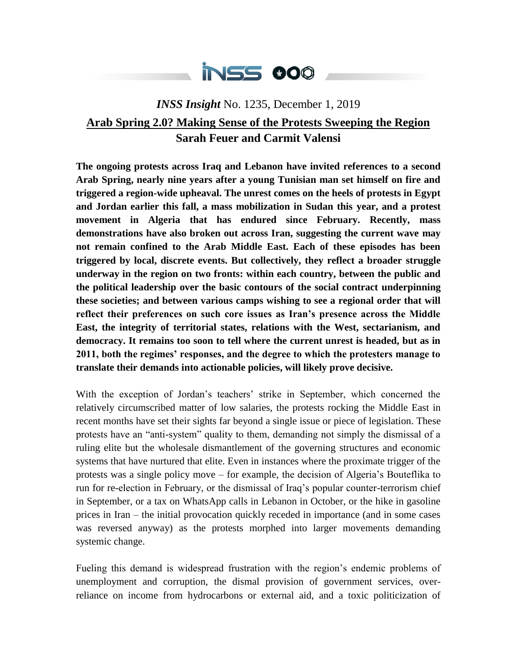

## *INSS Insight* No. 1235, December 1, 2019 **Arab Spring 2.0? Making Sense of the Protests Sweeping the Region Sarah Feuer and Carmit Valensi**

**The ongoing protests across Iraq and Lebanon have invited references to a second Arab Spring, nearly nine years after a young Tunisian man set himself on fire and triggered a region-wide upheaval. The unrest comes on the heels of protests in Egypt and Jordan earlier this fall, a mass mobilization in Sudan this year, and a protest movement in Algeria that has endured since February. Recently, mass demonstrations have also broken out across Iran, suggesting the current wave may not remain confined to the Arab Middle East. Each of these episodes has been triggered by local, discrete events. But collectively, they reflect a broader struggle underway in the region on two fronts: within each country, between the public and the political leadership over the basic contours of the social contract underpinning these societies; and between various camps wishing to see a regional order that will reflect their preferences on such core issues as Iran's presence across the Middle East, the integrity of territorial states, relations with the West, sectarianism, and democracy. It remains too soon to tell where the current unrest is headed, but as in 2011, both the regimes' responses, and the degree to which the protesters manage to translate their demands into actionable policies, will likely prove decisive.**

With the exception of Jordan's teachers' strike in September, which concerned the relatively circumscribed matter of low salaries, the protests rocking the Middle East in recent months have set their sights far beyond a single issue or piece of legislation. These protests have an "anti-system" quality to them, demanding not simply the dismissal of a ruling elite but the wholesale dismantlement of the governing structures and economic systems that have nurtured that elite. Even in instances where the proximate trigger of the protests was a single policy move – for example, the decision of Algeria's Bouteflika to run for re-election in February, or the dismissal of Iraq's popular counter-terrorism chief in September, or a tax on WhatsApp calls in Lebanon in October, or the hike in gasoline prices in Iran – the initial provocation quickly receded in importance (and in some cases was reversed anyway) as the protests morphed into larger movements demanding systemic change.

Fueling this demand is widespread frustration with the region's endemic problems of unemployment and corruption, the dismal provision of government services, overreliance on income from hydrocarbons or external aid, and a toxic politicization of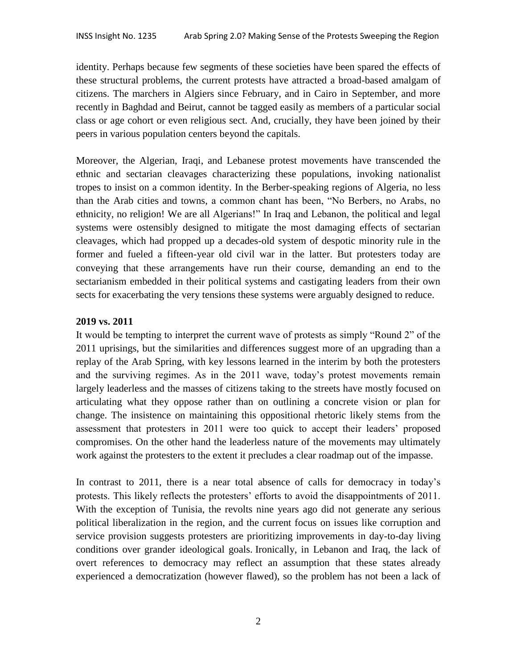identity. Perhaps because few segments of these societies have been spared the effects of these structural problems, the current protests have attracted a broad-based amalgam of citizens. The marchers in Algiers since February, and in Cairo in September, and more recently in Baghdad and Beirut, cannot be tagged easily as members of a particular social class or age cohort or even religious sect. And, crucially, they have been joined by their peers in various population centers beyond the capitals.

Moreover, the Algerian, Iraqi, and Lebanese protest movements have transcended the ethnic and sectarian cleavages characterizing these populations, invoking nationalist tropes to insist on a common identity. In the Berber-speaking regions of Algeria, no less than the Arab cities and towns, a common chant has been, "No Berbers, no Arabs, no ethnicity, no religion! We are all Algerians!" In Iraq and Lebanon, the political and legal systems were ostensibly designed to mitigate the most damaging effects of sectarian cleavages, which had propped up a decades-old system of despotic minority rule in the former and fueled a fifteen-year old civil war in the latter. But protesters today are conveying that these arrangements have run their course, demanding an end to the sectarianism embedded in their political systems and castigating leaders from their own sects for exacerbating the very tensions these systems were arguably designed to reduce.

## **2019 vs. 2011**

It would be tempting to interpret the current wave of protests as simply "Round 2" of the 2011 uprisings, but the similarities and differences suggest more of an upgrading than a replay of the Arab Spring, with key lessons learned in the interim by both the protesters and the surviving regimes. As in the 2011 wave, today's protest movements remain largely leaderless and the masses of citizens taking to the streets have mostly focused on articulating what they oppose rather than on outlining a concrete vision or plan for change. The insistence on maintaining this oppositional rhetoric likely stems from the assessment that protesters in 2011 were too quick to accept their leaders' proposed compromises. On the other hand the leaderless nature of the movements may ultimately work against the protesters to the extent it precludes a clear roadmap out of the impasse.

In contrast to 2011, there is a near total absence of calls for democracy in today's protests. This likely reflects the protesters' efforts to avoid the disappointments of 2011. With the exception of Tunisia, the revolts nine years ago did not generate any serious political liberalization in the region, and the current focus on issues like corruption and service provision suggests protesters are prioritizing improvements in day-to-day living conditions over grander ideological goals. Ironically, in Lebanon and Iraq, the lack of overt references to democracy may reflect an assumption that these states already experienced a democratization (however flawed), so the problem has not been a lack of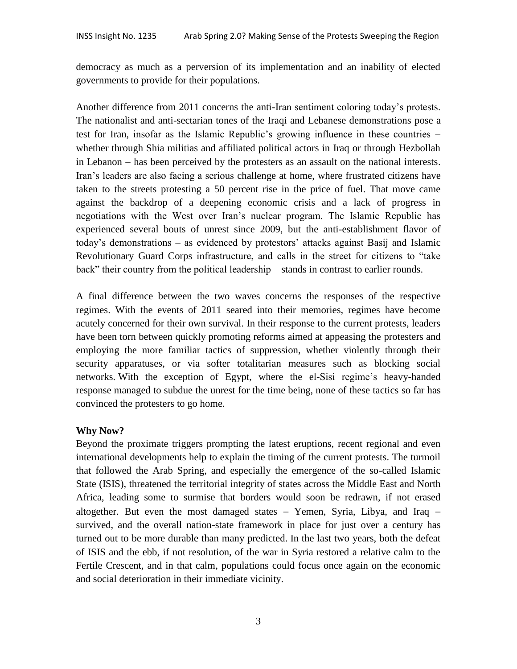democracy as much as a perversion of its implementation and an inability of elected governments to provide for their populations.

Another difference from 2011 concerns the anti-Iran sentiment coloring today's protests. The nationalist and anti-sectarian tones of the Iraqi and Lebanese demonstrations pose a test for Iran, insofar as the Islamic Republic's growing influence in these countries whether through Shia militias and affiliated political actors in Iraq or through Hezbollah in Lebanon – has been perceived by the protesters as an assault on the national interests. Iran's leaders are also facing a serious challenge at home, where frustrated citizens have taken to the streets protesting a 50 percent rise in the price of fuel. That move came against the backdrop of a deepening economic crisis and a lack of progress in negotiations with the West over Iran's nuclear program. The Islamic Republic has experienced several bouts of unrest since 2009, but the anti-establishment flavor of today's demonstrations – as evidenced by protestors' attacks against Basij and Islamic Revolutionary Guard Corps infrastructure, and calls in the street for citizens to "take back" their country from the political leadership – stands in contrast to earlier rounds.

A final difference between the two waves concerns the responses of the respective regimes. With the events of 2011 seared into their memories, regimes have become acutely concerned for their own survival. In their response to the current protests, leaders have been torn between quickly promoting reforms aimed at appeasing the protesters and employing the more familiar tactics of suppression, whether violently through their security apparatuses, or via softer totalitarian measures such as blocking social networks. With the exception of Egypt, where the el-Sisi regime's heavy-handed response managed to subdue the unrest for the time being, none of these tactics so far has convinced the protesters to go home.

## **Why Now?**

Beyond the proximate triggers prompting the latest eruptions, recent regional and even international developments help to explain the timing of the current protests. The turmoil that followed the Arab Spring, and especially the emergence of the so-called Islamic State (ISIS), threatened the territorial integrity of states across the Middle East and North Africa, leading some to surmise that borders would soon be redrawn, if not erased altogether. But even the most damaged states  $-$  Yemen, Syria, Libya, and Iraq  $$ survived, and the overall nation-state framework in place for just over a century has turned out to be more durable than many predicted. In the last two years, both the defeat of ISIS and the ebb, if not resolution, of the war in Syria restored a relative calm to the Fertile Crescent, and in that calm, populations could focus once again on the economic and social deterioration in their immediate vicinity.